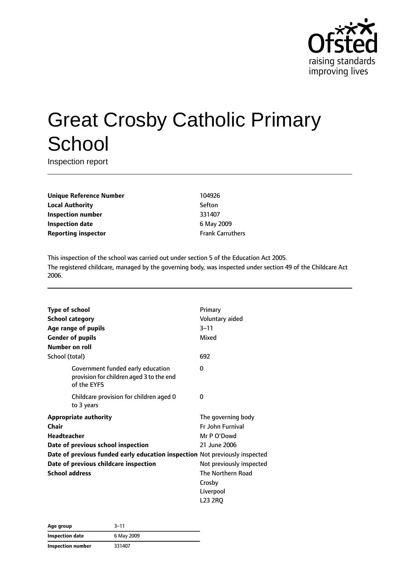

# Great Crosby Catholic Primary **School**

Inspection report

**Unique Reference Number** 104926 **Local Authority** Sefton **Inspection number** 331407 **Inspection date** 6 May 2009 **Reporting inspector Frank Carruthers** 

This inspection of the school was carried out under section 5 of the Education Act 2005. The registered childcare, managed by the governing body, was inspected under section 49 of the Childcare Act 2006.

| <b>Type of school</b>                                                       |                                                                                              | Primary                  |
|-----------------------------------------------------------------------------|----------------------------------------------------------------------------------------------|--------------------------|
| <b>School category</b>                                                      |                                                                                              | Voluntary aided          |
|                                                                             | Age range of pupils                                                                          | $3 - 11$                 |
| <b>Gender of pupils</b>                                                     |                                                                                              | Mixed                    |
| Number on roll                                                              |                                                                                              |                          |
| School (total)                                                              |                                                                                              | 692                      |
|                                                                             | Government funded early education<br>provision for children aged 3 to the end<br>of the EYFS | 0                        |
|                                                                             | Childcare provision for children aged 0<br>to 3 years                                        | 0                        |
| <b>Appropriate authority</b>                                                |                                                                                              | The governing body       |
| Chair                                                                       |                                                                                              | <b>Fr John Furnival</b>  |
| <b>Headteacher</b>                                                          |                                                                                              | Mr P O'Dowd              |
|                                                                             | Date of previous school inspection                                                           | 21 June 2006             |
| Date of previous funded early education inspection Not previously inspected |                                                                                              |                          |
|                                                                             | Date of previous childcare inspection                                                        | Not previously inspected |
| <b>School address</b>                                                       |                                                                                              | The Northern Road        |
|                                                                             |                                                                                              | Crosby                   |
|                                                                             |                                                                                              | Liverpool                |
|                                                                             |                                                                                              | L <sub>23</sub> 2RO      |

| Age group         | $3 - 11$   |  |
|-------------------|------------|--|
| Inspection date   | 6 May 2009 |  |
| Inspection number | 331407     |  |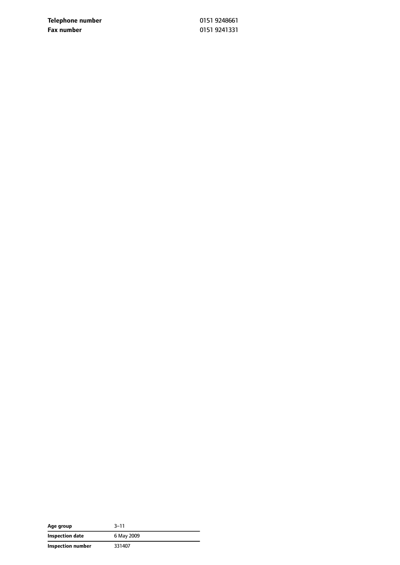**Telephone number** 0151 9248661 **Fax number** 0151 9241331

| Age group         | $3 - 11$   |
|-------------------|------------|
| Inspection date   | 6 May 2009 |
| Inspection number | 331407     |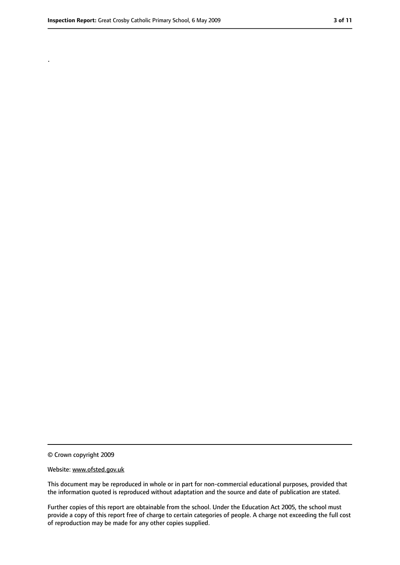.

<sup>©</sup> Crown copyright 2009

Website: www.ofsted.gov.uk

This document may be reproduced in whole or in part for non-commercial educational purposes, provided that the information quoted is reproduced without adaptation and the source and date of publication are stated.

Further copies of this report are obtainable from the school. Under the Education Act 2005, the school must provide a copy of this report free of charge to certain categories of people. A charge not exceeding the full cost of reproduction may be made for any other copies supplied.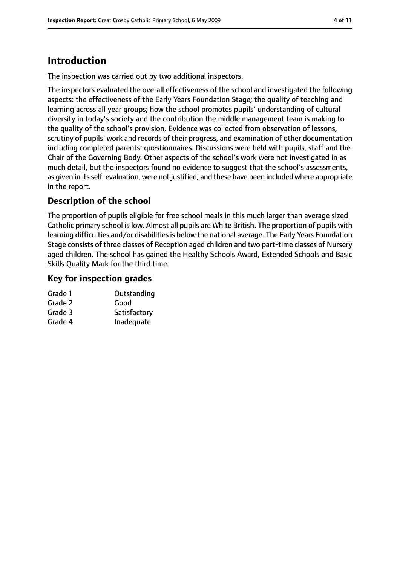# **Introduction**

The inspection was carried out by two additional inspectors.

The inspectors evaluated the overall effectiveness of the school and investigated the following aspects: the effectiveness of the Early Years Foundation Stage; the quality of teaching and learning across all year groups; how the school promotes pupils' understanding of cultural diversity in today's society and the contribution the middle management team is making to the quality of the school's provision. Evidence was collected from observation of lessons, scrutiny of pupils' work and records of their progress, and examination of other documentation including completed parents' questionnaires. Discussions were held with pupils, staff and the Chair of the Governing Body. Other aspects of the school's work were not investigated in as much detail, but the inspectors found no evidence to suggest that the school's assessments, as given in its self-evaluation, were not justified, and these have been included where appropriate in the report.

### **Description of the school**

The proportion of pupils eligible for free school meals in this much larger than average sized Catholic primary school is low. Almost all pupils are White British. The proportion of pupils with learning difficulties and/or disabilities is below the national average. The Early Years Foundation Stage consists of three classes of Reception aged children and two part-time classes of Nursery aged children. The school has gained the Healthy Schools Award, Extended Schools and Basic Skills Quality Mark for the third time.

#### **Key for inspection grades**

| Grade 1 | Outstanding  |
|---------|--------------|
| Grade 2 | Good         |
| Grade 3 | Satisfactory |
| Grade 4 | Inadequate   |
|         |              |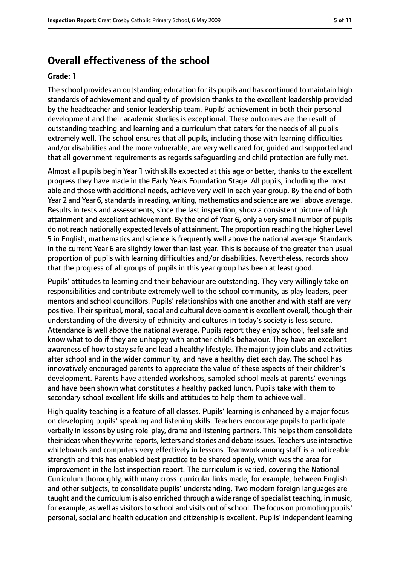#### **Overall effectiveness of the school**

#### **Grade: 1**

The school provides an outstanding education for its pupils and has continued to maintain high standards of achievement and quality of provision thanks to the excellent leadership provided by the headteacher and senior leadership team. Pupils' achievement in both their personal development and their academic studies is exceptional. These outcomes are the result of outstanding teaching and learning and a curriculum that caters for the needs of all pupils extremely well. The school ensures that all pupils, including those with learning difficulties and/or disabilities and the more vulnerable, are very well cared for, guided and supported and that all government requirements as regards safeguarding and child protection are fully met.

Almost all pupils begin Year 1 with skills expected at this age or better, thanks to the excellent progress they have made in the Early Years Foundation Stage. All pupils, including the most able and those with additional needs, achieve very well in each year group. By the end of both Year 2 and Year 6, standards in reading, writing, mathematics and science are well above average. Results in tests and assessments, since the last inspection, show a consistent picture of high attainment and excellent achievement. By the end of Year 6, only a very small number of pupils do not reach nationally expected levels of attainment. The proportion reaching the higher Level 5 in English, mathematics and science is frequently well above the national average. Standards in the current Year 6 are slightly lower than last year. This is because of the greater than usual proportion of pupils with learning difficulties and/or disabilities. Nevertheless, records show that the progress of all groups of pupils in this year group has been at least good.

Pupils' attitudes to learning and their behaviour are outstanding. They very willingly take on responsibilities and contribute extremely well to the school community, as play leaders, peer mentors and school councillors. Pupils' relationships with one another and with staff are very positive. Their spiritual, moral, social and cultural development is excellent overall, though their understanding of the diversity of ethnicity and cultures in today's society is less secure. Attendance is well above the national average. Pupils report they enjoy school, feel safe and know what to do if they are unhappy with another child's behaviour. They have an excellent awareness of how to stay safe and lead a healthy lifestyle. The majority join clubs and activities after school and in the wider community, and have a healthy diet each day. The school has innovatively encouraged parents to appreciate the value of these aspects of their children's development. Parents have attended workshops, sampled school meals at parents' evenings and have been shown what constitutes a healthy packed lunch. Pupils take with them to secondary school excellent life skills and attitudes to help them to achieve well.

High quality teaching is a feature of all classes. Pupils' learning is enhanced by a major focus on developing pupils' speaking and listening skills. Teachers encourage pupils to participate verbally in lessons by using role-play, drama and listening partners. This helpsthem consolidate their ideas when they write reports, letters and stories and debate issues. Teachers use interactive whiteboards and computers very effectively in lessons. Teamwork among staff is a noticeable strength and this has enabled best practice to be shared openly, which was the area for improvement in the last inspection report. The curriculum is varied, covering the National Curriculum thoroughly, with many cross-curricular links made, for example, between English and other subjects, to consolidate pupils' understanding. Two modern foreign languages are taught and the curriculum is also enriched through a wide range of specialist teaching, in music, for example, as well as visitors to school and visits out of school. The focus on promoting pupils' personal, social and health education and citizenship is excellent. Pupils' independent learning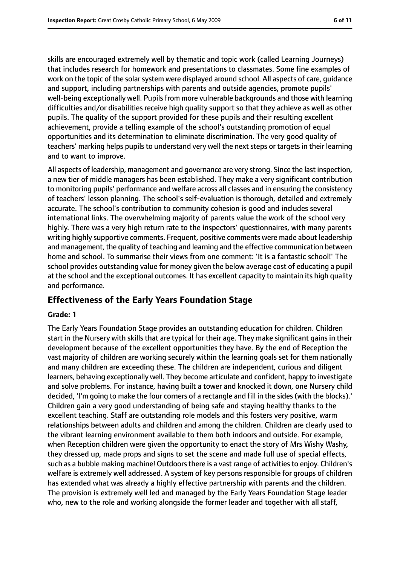skills are encouraged extremely well by thematic and topic work (called Learning Journeys) that includes research for homework and presentations to classmates. Some fine examples of work on the topic of the solar system were displayed around school. All aspects of care, guidance and support, including partnerships with parents and outside agencies, promote pupils' well-being exceptionally well. Pupils from more vulnerable backgrounds and those with learning difficulties and/or disabilities receive high quality support so that they achieve as well as other pupils. The quality of the support provided for these pupils and their resulting excellent achievement, provide a telling example of the school's outstanding promotion of equal opportunities and its determination to eliminate discrimination. The very good quality of teachers' marking helps pupils to understand very well the next steps or targets in their learning and to want to improve.

All aspects of leadership, management and governance are very strong. Since the last inspection, a new tier of middle managers has been established. They make a very significant contribution to monitoring pupils' performance and welfare across all classes and in ensuring the consistency of teachers' lesson planning. The school's self-evaluation is thorough, detailed and extremely accurate. The school's contribution to community cohesion is good and includes several international links. The overwhelming majority of parents value the work of the school very highly. There was a very high return rate to the inspectors' questionnaires, with many parents writing highly supportive comments. Frequent, positive comments were made about leadership and management, the quality of teaching and learning and the effective communication between home and school. To summarise their views from one comment: 'It is a fantastic school!' The school provides outstanding value for money given the below average cost of educating a pupil at the school and the exceptional outcomes. It has excellent capacity to maintain its high quality and performance.

#### **Effectiveness of the Early Years Foundation Stage**

#### **Grade: 1**

The Early Years Foundation Stage provides an outstanding education for children. Children start in the Nursery with skills that are typical for their age. They make significant gains in their development because of the excellent opportunities they have. By the end of Reception the vast majority of children are working securely within the learning goals set for them nationally and many children are exceeding these. The children are independent, curious and diligent learners, behaving exceptionally well. They become articulate and confident, happy to investigate and solve problems. For instance, having built a tower and knocked it down, one Nursery child decided, 'I'm going to make the four corners of a rectangle and fill in the sides(with the blocks).' Children gain a very good understanding of being safe and staying healthy thanks to the excellent teaching. Staff are outstanding role models and this fosters very positive, warm relationships between adults and children and among the children. Children are clearly used to the vibrant learning environment available to them both indoors and outside. For example, when Reception children were given the opportunity to enact the story of Mrs Wishy Washy, they dressed up, made props and signs to set the scene and made full use of special effects, such as a bubble making machine! Outdoors there is a vast range of activities to enjoy. Children's welfare is extremely well addressed. A system of key persons responsible for groups of children has extended what was already a highly effective partnership with parents and the children. The provision is extremely well led and managed by the Early Years Foundation Stage leader who, new to the role and working alongside the former leader and together with all staff,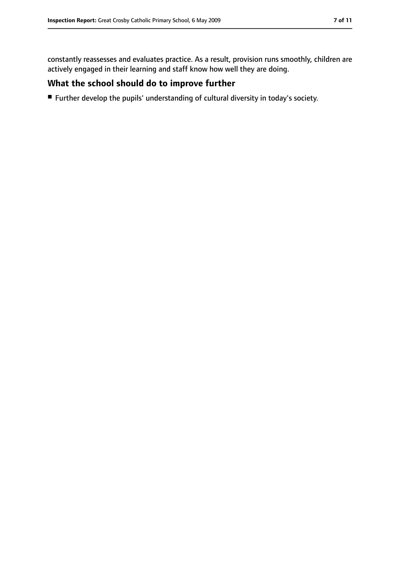constantly reassesses and evaluates practice. As a result, provision runs smoothly, children are actively engaged in their learning and staff know how well they are doing.

#### **What the school should do to improve further**

■ Further develop the pupils' understanding of cultural diversity in today's society.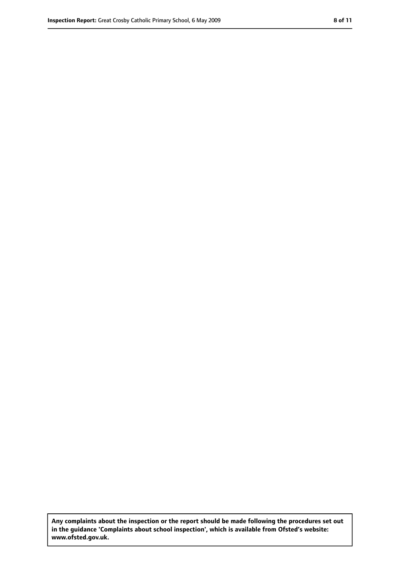**Any complaints about the inspection or the report should be made following the procedures set out in the guidance 'Complaints about school inspection', which is available from Ofsted's website: www.ofsted.gov.uk.**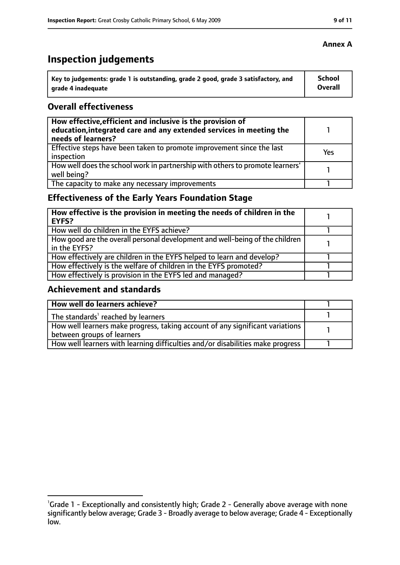# **Inspection judgements**

| Key to judgements: grade 1 is outstanding, grade 2 good, grade 3 satisfactory, and | School         |
|------------------------------------------------------------------------------------|----------------|
| grade 4 inadequate                                                                 | <b>Overall</b> |

#### **Overall effectiveness**

| How effective, efficient and inclusive is the provision of<br>education, integrated care and any extended services in meeting the<br>needs of learners? |     |
|---------------------------------------------------------------------------------------------------------------------------------------------------------|-----|
| Effective steps have been taken to promote improvement since the last<br>inspection                                                                     | Yes |
| How well does the school work in partnership with others to promote learners'<br>well being?                                                            |     |
| The capacity to make any necessary improvements                                                                                                         |     |

### **Effectiveness of the Early Years Foundation Stage**

| How effective is the provision in meeting the needs of children in the<br>l EYFS?            |  |
|----------------------------------------------------------------------------------------------|--|
| How well do children in the EYFS achieve?                                                    |  |
| How good are the overall personal development and well-being of the children<br>in the EYFS? |  |
| How effectively are children in the EYFS helped to learn and develop?                        |  |
| How effectively is the welfare of children in the EYFS promoted?                             |  |
| How effectively is provision in the EYFS led and managed?                                    |  |

#### **Achievement and standards**

| How well do learners achieve?                                                               |  |
|---------------------------------------------------------------------------------------------|--|
| $\vert$ The standards <sup>1</sup> reached by learners                                      |  |
| $\mid$ How well learners make progress, taking account of any significant variations $\mid$ |  |
| between groups of learners                                                                  |  |
| How well learners with learning difficulties and/or disabilities make progress              |  |

<sup>&</sup>lt;sup>1</sup>Grade 1 - Exceptionally and consistently high; Grade 2 - Generally above average with none significantly below average; Grade 3 - Broadly average to below average; Grade 4 - Exceptionally low.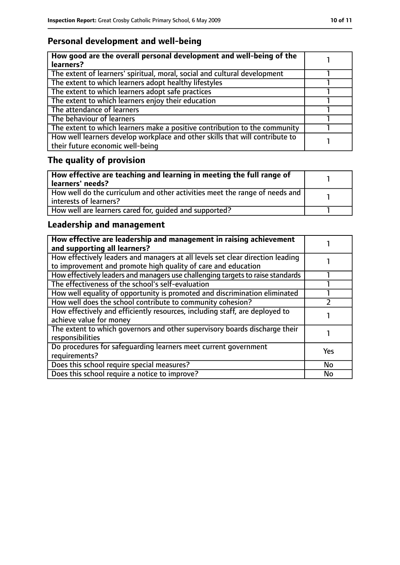## **Personal development and well-being**

| How good are the overall personal development and well-being of the<br>learners?                                 |  |
|------------------------------------------------------------------------------------------------------------------|--|
| The extent of learners' spiritual, moral, social and cultural development                                        |  |
| The extent to which learners adopt healthy lifestyles                                                            |  |
| The extent to which learners adopt safe practices                                                                |  |
| The extent to which learners enjoy their education                                                               |  |
| The attendance of learners                                                                                       |  |
| The behaviour of learners                                                                                        |  |
| The extent to which learners make a positive contribution to the community                                       |  |
| How well learners develop workplace and other skills that will contribute to<br>their future economic well-being |  |

# **The quality of provision**

| How effective are teaching and learning in meeting the full range of<br>learners' needs?              |  |
|-------------------------------------------------------------------------------------------------------|--|
| How well do the curriculum and other activities meet the range of needs and<br>interests of learners? |  |
| How well are learners cared for, quided and supported?                                                |  |

### **Leadership and management**

| How effective are leadership and management in raising achievement<br>and supporting all learners?                                              |           |
|-------------------------------------------------------------------------------------------------------------------------------------------------|-----------|
| How effectively leaders and managers at all levels set clear direction leading<br>to improvement and promote high quality of care and education |           |
| How effectively leaders and managers use challenging targets to raise standards                                                                 |           |
| The effectiveness of the school's self-evaluation                                                                                               |           |
| How well equality of opportunity is promoted and discrimination eliminated                                                                      |           |
| How well does the school contribute to community cohesion?                                                                                      |           |
| How effectively and efficiently resources, including staff, are deployed to<br>achieve value for money                                          |           |
| The extent to which governors and other supervisory boards discharge their<br>responsibilities                                                  |           |
| Do procedures for safequarding learners meet current government<br>requirements?                                                                | Yes       |
| Does this school require special measures?                                                                                                      | <b>No</b> |
| Does this school require a notice to improve?                                                                                                   | <b>No</b> |